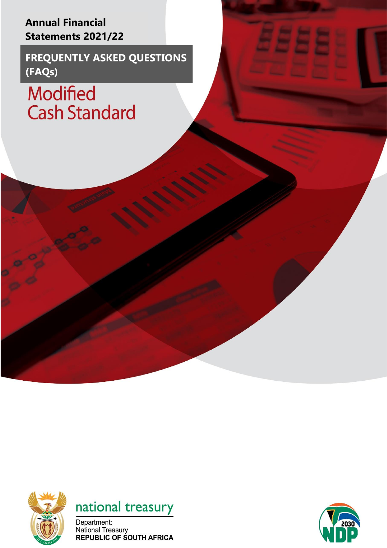**Annual Financial Statements 2021/22** 

**FREQUENTLY ASKED QUESTIONS (FAQs)**

**Modified** Cash Standard





Department: National Treasury<br>REPUBLIC OF SOUTH AFRICA

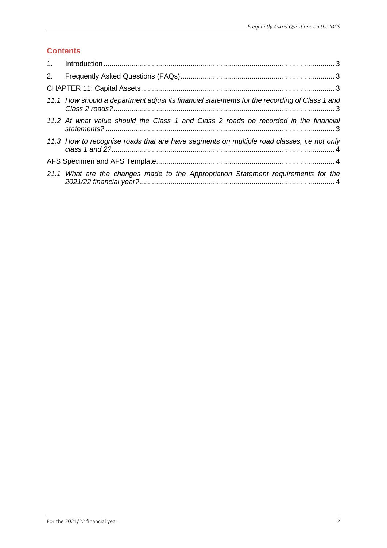# **Contents**

| 2. |                                                                                               |
|----|-----------------------------------------------------------------------------------------------|
|    |                                                                                               |
|    | 11.1 How should a department adjust its financial statements for the recording of Class 1 and |
|    | 11.2 At what value should the Class 1 and Class 2 roads be recorded in the financial          |
|    | 11.3 How to recognise roads that are have segments on multiple road classes, i.e not only     |
|    |                                                                                               |
|    | 21.1 What are the changes made to the Appropriation Statement requirements for the            |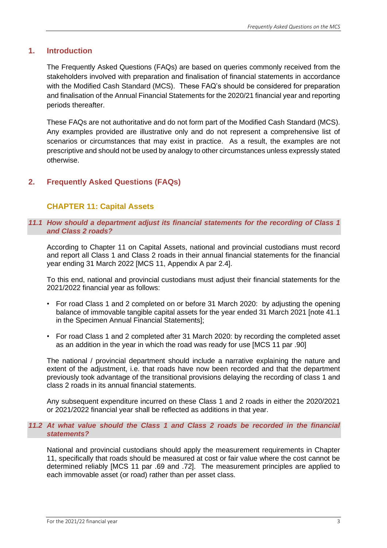### <span id="page-2-0"></span>**1. Introduction**

The Frequently Asked Questions (FAQs) are based on queries commonly received from the stakeholders involved with preparation and finalisation of financial statements in accordance with the Modified Cash Standard (MCS). These FAQ's should be considered for preparation and finalisation of the Annual Financial Statements for the 2020/21 financial year and reporting periods thereafter.

These FAQs are not authoritative and do not form part of the Modified Cash Standard (MCS). Any examples provided are illustrative only and do not represent a comprehensive list of scenarios or circumstances that may exist in practice. As a result, the examples are not prescriptive and should not be used by analogy to other circumstances unless expressly stated otherwise.

## <span id="page-2-1"></span>**2. Frequently Asked Questions (FAQs)**

## <span id="page-2-3"></span><span id="page-2-2"></span>**CHAPTER 11: Capital Assets**

### *11.1 How should a department adjust its financial statements for the recording of Class 1 and Class 2 roads?*

According to Chapter 11 on Capital Assets, national and provincial custodians must record and report all Class 1 and Class 2 roads in their annual financial statements for the financial year ending 31 March 2022 [MCS 11, Appendix A par 2.4].

To this end, national and provincial custodians must adjust their financial statements for the 2021/2022 financial year as follows:

- For road Class 1 and 2 completed on or before 31 March 2020: by adjusting the opening balance of immovable tangible capital assets for the year ended 31 March 2021 [note 41.1 in the Specimen Annual Financial Statements];
- For road Class 1 and 2 completed after 31 March 2020: by recording the completed asset as an addition in the year in which the road was ready for use [MCS 11 par .90]

The national / provincial department should include a narrative explaining the nature and extent of the adjustment, i.e. that roads have now been recorded and that the department previously took advantage of the transitional provisions delaying the recording of class 1 and class 2 roads in its annual financial statements.

Any subsequent expenditure incurred on these Class 1 and 2 roads in either the 2020/2021 or 2021/2022 financial year shall be reflected as additions in that year.

#### <span id="page-2-4"></span>*11.2 At what value should the Class 1 and Class 2 roads be recorded in the financial statements?*

National and provincial custodians should apply the measurement requirements in Chapter 11, specifically that roads should be measured at cost or fair value where the cost cannot be determined reliably [MCS 11 par .69 and .72]. The measurement principles are applied to each immovable asset (or road) rather than per asset class.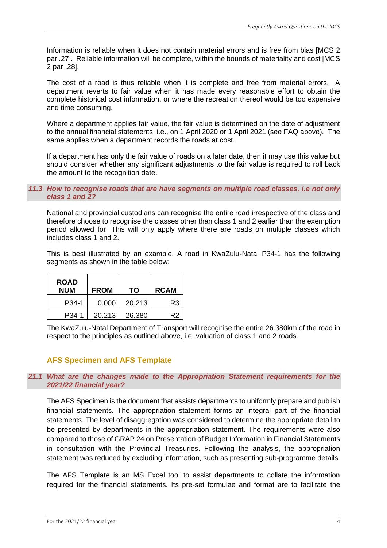Information is reliable when it does not contain material errors and is free from bias [MCS 2 par .27]. Reliable information will be complete, within the bounds of materiality and cost [MCS 2 par .28].

The cost of a road is thus reliable when it is complete and free from material errors. A department reverts to fair value when it has made every reasonable effort to obtain the complete historical cost information, or where the recreation thereof would be too expensive and time consuming.

Where a department applies fair value, the fair value is determined on the date of adjustment to the annual financial statements, i.e., on 1 April 2020 or 1 April 2021 (see FAQ above). The same applies when a department records the roads at cost.

If a department has only the fair value of roads on a later date, then it may use this value but should consider whether any significant adjustments to the fair value is required to roll back the amount to the recognition date.

#### <span id="page-3-0"></span>*11.3 How to recognise roads that are have segments on multiple road classes, i.e not only class 1 and 2?*

National and provincial custodians can recognise the entire road irrespective of the class and therefore choose to recognise the classes other than class 1 and 2 earlier than the exemption period allowed for. This will only apply where there are roads on multiple classes which includes class 1 and 2.

This is best illustrated by an example. A road in KwaZulu-Natal P34-1 has the following segments as shown in the table below:

| <b>ROAD</b><br><b>NUM</b> | <b>FROM</b> | ΤО     | <b>RCAM</b> |
|---------------------------|-------------|--------|-------------|
| P <sub>34</sub> -1        | 0.000       | 20.213 | R3          |
| P34-1                     | 20.213      | 26.380 | R2          |

The KwaZulu-Natal Department of Transport will recognise the entire 26.380km of the road in respect to the principles as outlined above, i.e. valuation of class 1 and 2 roads.

# <span id="page-3-1"></span>**AFS Specimen and AFS Template**

#### <span id="page-3-2"></span>*21.1 What are the changes made to the Appropriation Statement requirements for the 2021/22 financial year?*

The AFS Specimen is the document that assists departments to uniformly prepare and publish financial statements. The appropriation statement forms an integral part of the financial statements. The level of disaggregation was considered to determine the appropriate detail to be presented by departments in the appropriation statement. The requirements were also compared to those of GRAP 24 on Presentation of Budget Information in Financial Statements in consultation with the Provincial Treasuries. Following the analysis, the appropriation statement was reduced by excluding information, such as presenting sub-programme details.

The AFS Template is an MS Excel tool to assist departments to collate the information required for the financial statements. Its pre-set formulae and format are to facilitate the